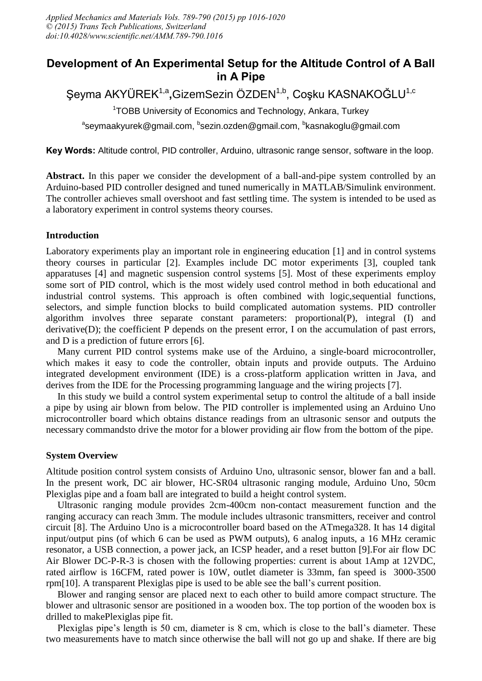## **Development of An Experimental Setup for the Altitude Control of A Ball in A Pipe**

# Şeyma AKYÜREK<sup>1,a</sup>,GizemSezin ÖZDEN<sup>1,b</sup>, Coşku KASNAKOĞLU<sup>1,c</sup>

<sup>1</sup>TOBB University of Economics and Technology, Ankara, Turkey

<sup>a</sup>seymaakyurek@gmail.com, <sup>b</sup>sezin.ozden@gmail.com, <sup>b</sup>kasnakoglu@gmail.com

**Key Words:** Altitude control, PID controller, Arduino, ultrasonic range sensor, software in the loop.

**Abstract.** In this paper we consider the development of a ball-and-pipe system controlled by an Arduino-based PID controller designed and tuned numerically in MATLAB/Simulink environment. The controller achieves small overshoot and fast settling time. The system is intended to be used as a laboratory experiment in control systems theory courses.

## **Introduction**

Laboratory experiments play an important role in engineering education [1] and in control systems theory courses in particular [2]. Examples include DC motor experiments [3], coupled tank apparatuses [4] and magnetic suspension control systems [5]. Most of these experiments employ some sort of PID control, which is the most widely used control method in both educational and industrial control systems. This approach is often combined with logic,sequential functions, selectors, and simple function blocks to build complicated automation systems. PID controller algorithm involves three separate constant parameters: proportional(P), integral (I) and derivative(D); the coefficient P depends on the present error, I on the accumulation of past errors, and D is a prediction of future errors [6].

Many current PID control systems make use of the Arduino, a single-board microcontroller, which makes it easy to code the controller, obtain inputs and provide outputs. The Arduino integrated development environment (IDE) is a cross-platform application written in Java, and derives from the IDE for the Processing programming language and the wiring projects [7].

In this study we build a control system experimental setup to control the altitude of a ball inside a pipe by using air blown from below. The PID controller is implemented using an Arduino Uno microcontroller board which obtains distance readings from an ultrasonic sensor and outputs the necessary commandsto drive the motor for a blower providing air flow from the bottom of the pipe.

## **System Overview**

Altitude position control system consists of Arduino Uno, ultrasonic sensor, blower fan and a ball. In the present work, DC air blower, HC-SR04 ultrasonic ranging module, Arduino Uno, 50cm Plexiglas pipe and a foam ball are integrated to build a height control system.

Ultrasonic ranging module provides 2cm-400cm non-contact measurement function and the ranging accuracy can reach 3mm. The module includes ultrasonic transmitters, receiver and control circuit [8]. The Arduino Uno is a microcontroller board based on the ATmega328. It has 14 digital input/output pins (of which 6 can be used as PWM outputs), 6 analog inputs, a 16 MHz ceramic resonator, a USB connection, a power jack, an ICSP header, and a reset button [9].For air flow DC Air Blower DC-P-R-3 is chosen with the following properties: current is about 1Amp at 12VDC, rated airflow is 16CFM, rated power is 10W, outlet diameter is 33mm, fan speed is 3000-3500 rpm[10]. A transparent Plexiglas pipe is used to be able see the ball's current position.

Blower and ranging sensor are placed next to each other to build amore compact structure. The blower and ultrasonic sensor are positioned in a wooden box. The top portion of the wooden box is drilled to makePlexiglas pipe fit.

Plexiglas pipe's length is 50 cm, diameter is 8 cm, which is close to the ball's diameter. These two measurements have to match since otherwise the ball will not go up and shake. If there are big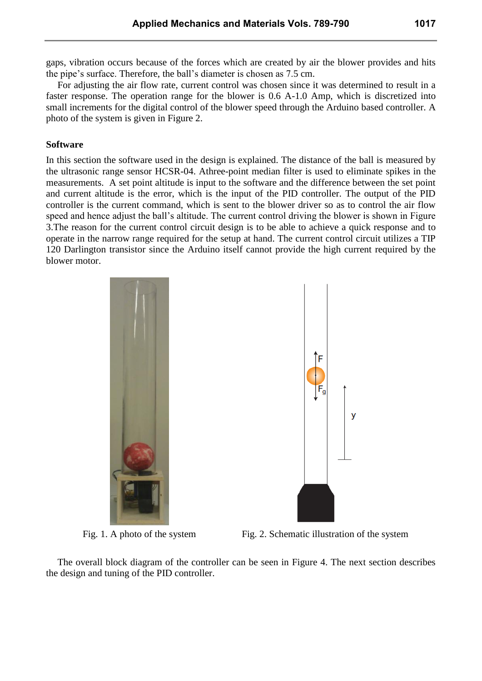gaps, vibration occurs because of the forces which are created by air the blower provides and hits the pipe's surface. Therefore, the ball's diameter is chosen as 7.5 cm.

For adjusting the air flow rate, current control was chosen since it was determined to result in a faster response. The operation range for the blower is 0.6 A-1.0 Amp, which is discretized into small increments for the digital control of the blower speed through the Arduino based controller. A photo of the system is given in Figure 2.

#### **Software**

In this section the software used in the design is explained. The distance of the ball is measured by the ultrasonic range sensor HCSR-04. Athree-point median filter is used to eliminate spikes in the measurements. A set point altitude is input to the software and the difference between the set point and current altitude is the error, which is the input of the PID controller. The output of the PID controller is the current command, which is sent to the blower driver so as to control the air flow speed and hence adjust the ball's altitude. The current control driving the blower is shown in Figure 3.The reason for the current control circuit design is to be able to achieve a quick response and to operate in the narrow range required for the setup at hand. The current control circuit utilizes a TIP 120 Darlington transistor since the Arduino itself cannot provide the high current required by the blower motor.



Fig. 1. A photo of the system Fig. 2. Schematic illustration of the system

The overall block diagram of the controller can be seen in Figure 4. The next section describes the design and tuning of the PID controller.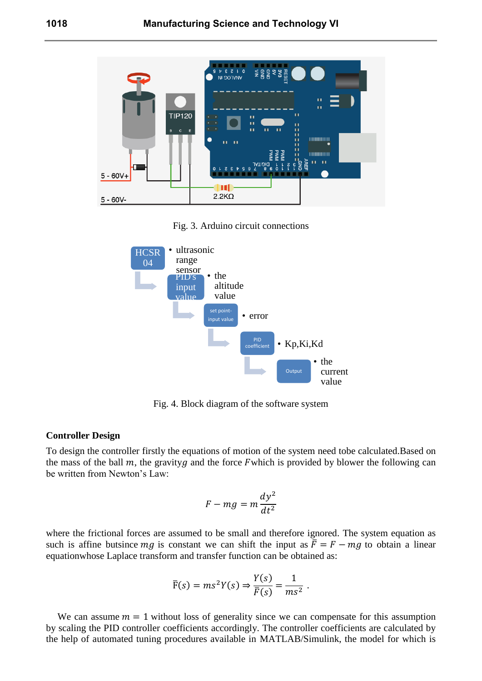

Fig. 3. Arduino circuit connections



Fig. 4. Block diagram of the software system

#### **Controller Design**

To design the controller firstly the equations of motion of the system need tobe calculated.Based on the mass of the ball  $m$ , the gravity  $q$  and the force F which is provided by blower the following can be written from Newton's Law:

$$
F - mg = m\frac{dy^2}{dt^2}
$$

where the frictional forces are assumed to be small and therefore ignored. The system equation as such is affine butsince  $mg$  is constant we can shift the input as  $\bar{F} = F - mg$  to obtain a linear equationwhose Laplace transform and transfer function can be obtained as:

$$
\overline{F}(s) = ms^2 Y(s) \Rightarrow \frac{Y(s)}{\overline{F}(s)} = \frac{1}{ms^2}
$$

We can assume  $m = 1$  without loss of generality since we can compensate for this assumption by scaling the PID controller coefficients accordingly. The controller coefficients are calculated by the help of automated tuning procedures available in MATLAB/Simulink, the model for which is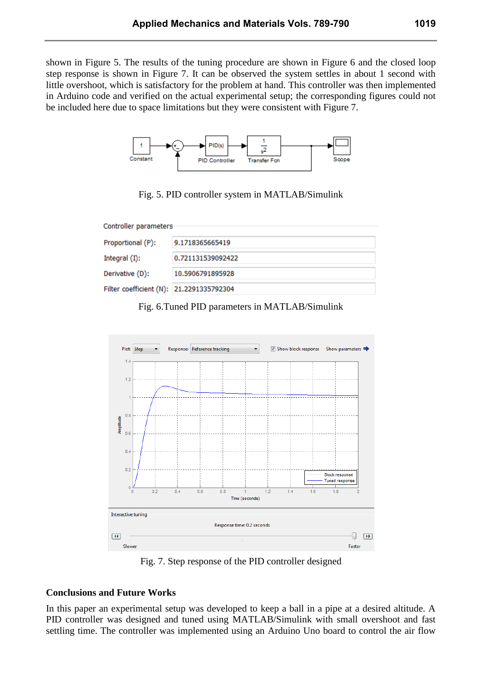shown in Figure 5. The results of the tuning procedure are shown in Figure 6 and the closed loop step response is shown in Figure 7. It can be observed the system settles in about 1 second with little overshoot, which is satisfactory for the problem at hand. This controller was then implemented in Arduino code and verified on the actual experimental setup; the corresponding figures could not be included here due to space limitations but they were consistent with Figure 7.



Fig. 5. PID controller system in MATLAB/Simulink

| Controller parameters                    |                   |
|------------------------------------------|-------------------|
| Proportional (P):                        | 9.1718365665419   |
| Integral (I):                            | 0.721131539092422 |
| Derivative (D):                          | 10.5906791895928  |
| Filter coefficient (N): 21.2291335792304 |                   |

Fig. 6.Tuned PID parameters in MATLAB/Simulink



Fig. 7. Step response of the PID controller designed

## **Conclusions and Future Works**

In this paper an experimental setup was developed to keep a ball in a pipe at a desired altitude. A PID controller was designed and tuned using MATLAB/Simulink with small overshoot and fast settling time. The controller was implemented using an Arduino Uno board to control the air flow